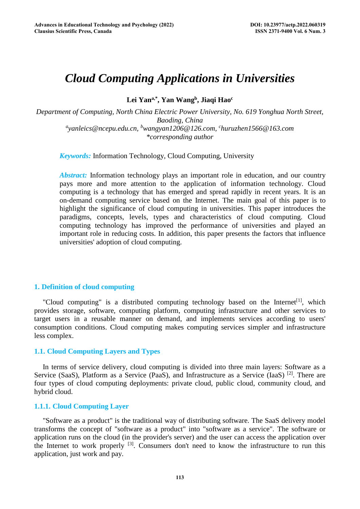# *Cloud Computing Applications in Universities*

**Lei Yana,\*, Yan Wangb, Jiaqi Haoc**

*Department of Computing, North China Electric Power University, No. 619 Yonghua North Street, Baoding, China a yanleics@ncepu.edu.cn, b wangyan1206@126.com, c huruzhen1566@163.com \*corresponding author* 

*Keywords:* Information Technology, Cloud Computing, University

*Abstract:* Information technology plays an important role in education, and our country pays more and more attention to the application of information technology. Cloud computing is a technology that has emerged and spread rapidly in recent years. It is an on-demand computing service based on the Internet. The main goal of this paper is to highlight the significance of cloud computing in universities. This paper introduces the paradigms, concepts, levels, types and characteristics of cloud computing. Cloud computing technology has improved the performance of universities and played an important role in reducing costs. In addition, this paper presents the factors that influence universities' adoption of cloud computing.

# **1. Definition of cloud computing**

"Cloud computing" is a distributed computing technology based on the Internet<sup>[1]</sup>, which provides storage, software, computing platform, computing infrastructure and other services to target users in a reusable manner on demand, and implements services according to users' consumption conditions. Cloud computing makes computing services simpler and infrastructure less complex.

# **1.1. Cloud Computing Layers and Types**

In terms of service delivery, cloud computing is divided into three main layers: Software as a Service (SaaS), Platform as a Service (PaaS), and Infrastructure as a Service (IaaS) <sup>[2]</sup>. There are four types of cloud computing deployments: private cloud, public cloud, community cloud, and hybrid cloud.

# **1.1.1. Cloud Computing Layer**

"Software as a product" is the traditional way of distributing software. The SaaS delivery model transforms the concept of "software as a product" into "software as a service". The software or application runs on the cloud (in the provider's server) and the user can access the application over the Internet to work properly  $^{[3]}$ . Consumers don't need to know the infrastructure to run this application, just work and pay.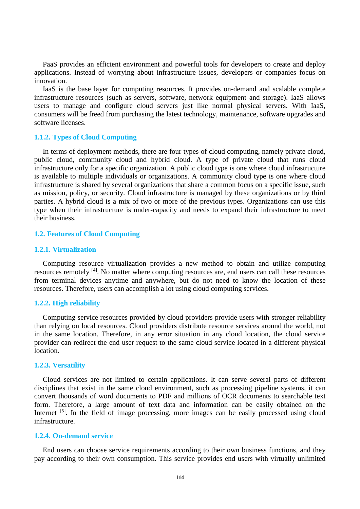PaaS provides an efficient environment and powerful tools for developers to create and deploy applications. Instead of worrying about infrastructure issues, developers or companies focus on innovation.

IaaS is the base layer for computing resources. It provides on-demand and scalable complete infrastructure resources (such as servers, software, network equipment and storage). IaaS allows users to manage and configure cloud servers just like normal physical servers. With IaaS, consumers will be freed from purchasing the latest technology, maintenance, software upgrades and software licenses.

# **1.1.2. Types of Cloud Computing**

In terms of deployment methods, there are four types of cloud computing, namely private cloud, public cloud, community cloud and hybrid cloud. A type of private cloud that runs cloud infrastructure only for a specific organization. A public cloud type is one where cloud infrastructure is available to multiple individuals or organizations. A community cloud type is one where cloud infrastructure is shared by several organizations that share a common focus on a specific issue, such as mission, policy, or security. Cloud infrastructure is managed by these organizations or by third parties. A hybrid cloud is a mix of two or more of the previous types. Organizations can use this type when their infrastructure is under-capacity and needs to expand their infrastructure to meet their business.

#### **1.2. Features of Cloud Computing**

#### **1.2.1. Virtualization**

Computing resource virtualization provides a new method to obtain and utilize computing resources remotely [4]. No matter where computing resources are, end users can call these resources from terminal devices anytime and anywhere, but do not need to know the location of these resources. Therefore, users can accomplish a lot using cloud computing services.

# **1.2.2. High reliability**

Computing service resources provided by cloud providers provide users with stronger reliability than relying on local resources. Cloud providers distribute resource services around the world, not in the same location. Therefore, in any error situation in any cloud location, the cloud service provider can redirect the end user request to the same cloud service located in a different physical location.

# **1.2.3. Versatility**

Cloud services are not limited to certain applications. It can serve several parts of different disciplines that exist in the same cloud environment, such as processing pipeline systems, it can convert thousands of word documents to PDF and millions of OCR documents to searchable text form. Therefore, a large amount of text data and information can be easily obtained on the Internet <sup>[5]</sup>. In the field of image processing, more images can be easily processed using cloud infrastructure.

#### **1.2.4. On-demand service**

End users can choose service requirements according to their own business functions, and they pay according to their own consumption. This service provides end users with virtually unlimited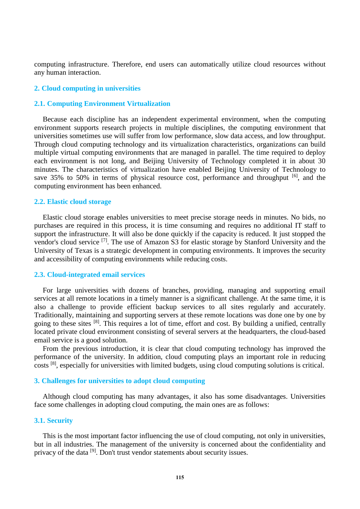computing infrastructure. Therefore, end users can automatically utilize cloud resources without any human interaction.

#### **2. Cloud computing in universities**

# **2.1. Computing Environment Virtualization**

Because each discipline has an independent experimental environment, when the computing environment supports research projects in multiple disciplines, the computing environment that universities sometimes use will suffer from low performance, slow data access, and low throughput. Through cloud computing technology and its virtualization characteristics, organizations can build multiple virtual computing environments that are managed in parallel. The time required to deploy each environment is not long, and Beijing University of Technology completed it in about 30 minutes. The characteristics of virtualization have enabled Beijing University of Technology to save 35% to 50% in terms of physical resource cost, performance and throughput  $[6]$ , and the computing environment has been enhanced.

# **2.2. Elastic cloud storage**

Elastic cloud storage enables universities to meet precise storage needs in minutes. No bids, no purchases are required in this process, it is time consuming and requires no additional IT staff to support the infrastructure. It will also be done quickly if the capacity is reduced. It just stopped the vendor's cloud service [7]. The use of Amazon S3 for elastic storage by Stanford University and the University of Texas is a strategic development in computing environments. It improves the security and accessibility of computing environments while reducing costs.

# **2.3. Cloud-integrated email services**

For large universities with dozens of branches, providing, managing and supporting email services at all remote locations in a timely manner is a significant challenge. At the same time, it is also a challenge to provide efficient backup services to all sites regularly and accurately. Traditionally, maintaining and supporting servers at these remote locations was done one by one by going to these sites [8]. This requires a lot of time, effort and cost. By building a unified, centrally located private cloud environment consisting of several servers at the headquarters, the cloud-based email service is a good solution.

From the previous introduction, it is clear that cloud computing technology has improved the performance of the university. In addition, cloud computing plays an important role in reducing costs [8], especially for universities with limited budgets, using cloud computing solutions is critical.

#### **3. Challenges for universities to adopt cloud computing**

Although cloud computing has many advantages, it also has some disadvantages. Universities face some challenges in adopting cloud computing, the main ones are as follows:

#### **3.1. Security**

This is the most important factor influencing the use of cloud computing, not only in universities, but in all industries. The management of the university is concerned about the confidentiality and privacy of the data [9]. Don't trust vendor statements about security issues.